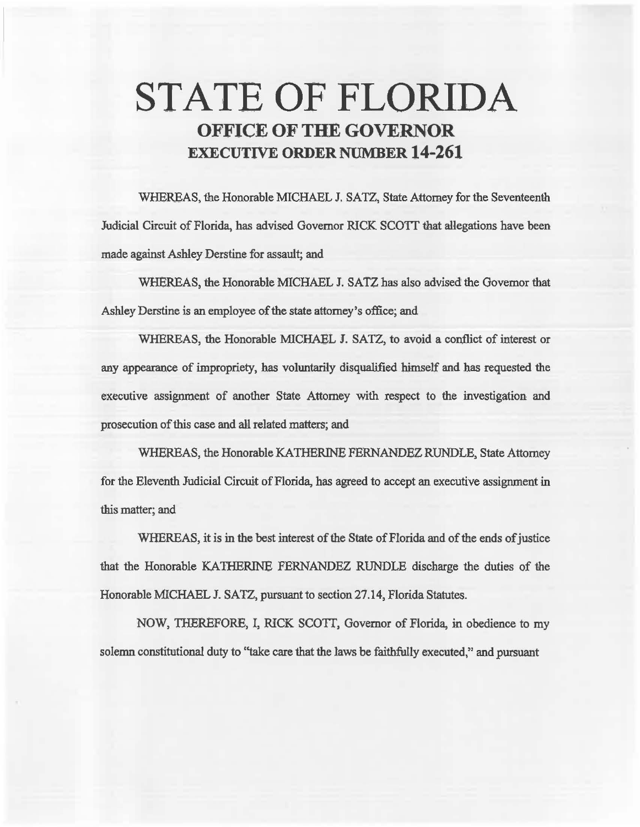# STATE OF FLORIDA OFFICE OF THE GOVERNOR EXECUTIVE ORDER NUMBER 14-261

WHEREAS, the Honorable MICHAEL J. SATZ, State Attorney for the Seventeenth Judicial Circuit of Florida, has advised Governor RICK SCOTT that allegations have been made against Ashley Derstine for assault; and

WHEREAS, the Honorable MICHAEL J. SATZ has also advised the Governor that Ashley Derstine is an employee of the state attorney's office; and

WHEREAS, the Honorable MICHAEL I. SATZ, to avoid a conflict of interest or any appearance of impropriety, has voluntarily disqualified himself and has requested the executive assignment of another State Attorney with respect to the investigation and prosecution of this case and all related matters; and

WHEREAS, the Honorable KATHERINE FERNANDEZ RUNDLE, State Attorney for the Eleventh Judicial Circuit of Florida, has agreed to accept an executive assignment in this matter; and

WHEREAS, it is in the best interest of the State of Florida and of the ends of justice that the Honorable KATHERINE FERNANDEZ RUNDLE discharge the duties of the Honorable MICHAEL J. SATZ, pursuant to section 27.14, Florida Statutes.

NOW, THEREFORE, I, RICK SCOTI, Governor of Florida, in obedience to my solemn constitutional duty to "take care that the laws be faithfully executed," and pursuant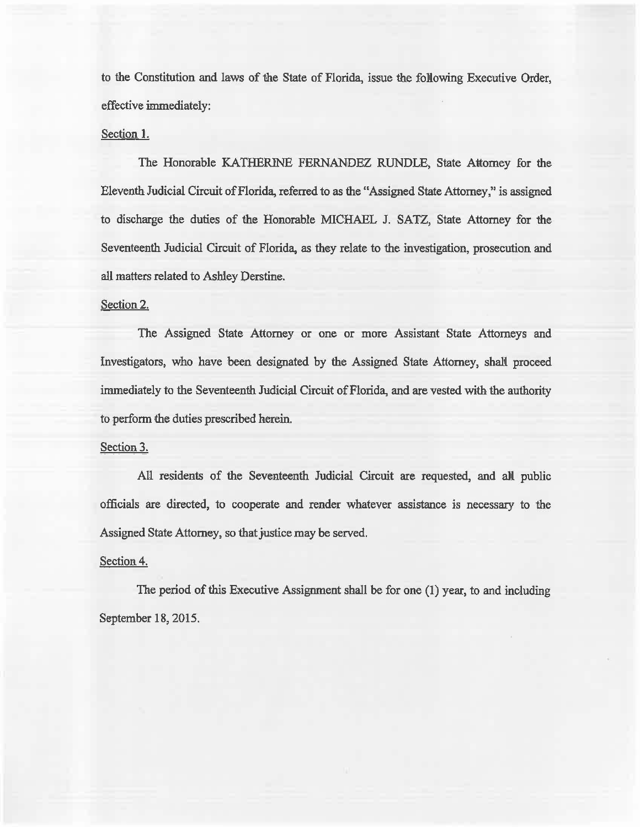to the Constitution and laws of the State of Florida, issue the following Executive Order, effective immediately:

## Section l.

The Honorable KATHERINE FERNANDEZ RUNDLE, State Attorney for the Eleventh Judicial Circuit of Florida, referred to as the "Assigned State Attorney," is assigned to discharge the duties of the Honorable MICHAEL J. SATZ, State Attorney for the Seventeenth Judicial Circuit of Florida, as they relate to the investigation, prosecution and all matters related to Ashley Derstine.

### Section 2.

The Assigned State Attorney or one or more Assistant State Attorneys and Investigators, who have been designated by the Assigned State Attorney, shall proceed immediately to the Seventeenth Judicial Circuit of Florida, and are vested with the authority to perform the duties prescribed herein.

#### Section 3.

All residents of the Seventeenth Judicial Circuit are requested, and all public officials are directed, to cooperate and render whatever assistance is necessary to the Assigned State Attorney, so that justice may be served.

#### Section 4.

The period of this Executive Assignment shall be for one (I) year, to and including September 18, 2015.